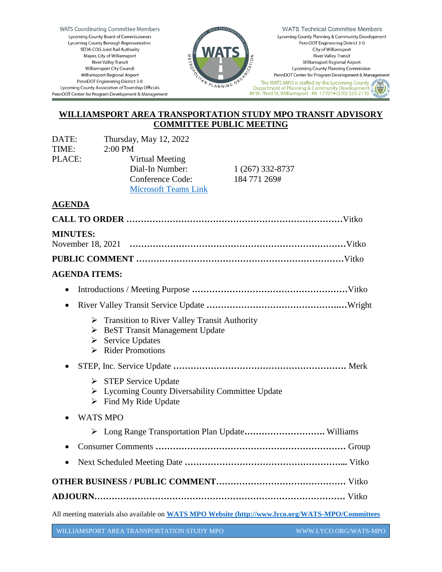**WATS Coordinating Committee Members** Lycoming County Board of Commissioners Lycoming County Borough Representative SEDA-COG Joint Rail Authority Mayor, City of Williamsport **River Valley Transit** Williamsport City Council **Williamsport Regional Airport** PennDOT Engineering District 3-0 Lycoming County Association of Township Officials PennDOT Center for Program Development & Management



**WATS Technical Committee Members** Lycoming County Planning & Community Development PennDOT Engineering District 3-0 City of Williamsport **River Valley Transit** Williamsport Regional Airport Lycoming County Planning Commission PennDOT Center for Program Development & Management

The WATS MPO is staffed by the Lycoming County The way of Planning & Community Development († 2001)<br>|} Department of Planning & Community Development († 48 W. Third St, Williamsport PA 17701● (570) 320-2130

# **WILLIAMSPORT AREA TRANSPORTATION STUDY MPO TRANSIT ADVISORY COMMITTEE PUBLIC MEETING**

| DATE:  | Thursday, May 12, 2022      |                  |
|--------|-----------------------------|------------------|
| TIME:  | $2:00$ PM                   |                  |
| PLACE: | Virtual Meeting             |                  |
|        | Dial-In Number:             | 1 (267) 332-8737 |
|        | Conference Code:            | 184 771 269#     |
|        | <b>Microsoft Teams Link</b> |                  |
|        |                             |                  |

## **AGENDA**

| <b>MINUTES:</b>                                                                                                                                                                    |  |  |
|------------------------------------------------------------------------------------------------------------------------------------------------------------------------------------|--|--|
|                                                                                                                                                                                    |  |  |
| <b>AGENDA ITEMS:</b>                                                                                                                                                               |  |  |
| $\bullet$                                                                                                                                                                          |  |  |
| $\bullet$                                                                                                                                                                          |  |  |
| Transition to River Valley Transit Authority<br>$\triangleright$ BeST Transit Management Update<br>$\triangleright$ Service Updates<br><b>Rider Promotions</b><br>$\triangleright$ |  |  |
|                                                                                                                                                                                    |  |  |
| $\triangleright$ STEP Service Update<br>> Lycoming County Diversability Committee Update<br>$\triangleright$ Find My Ride Update                                                   |  |  |
| <b>WATS MPO</b>                                                                                                                                                                    |  |  |
| Long Range Transportation Plan Update Williams<br>➤                                                                                                                                |  |  |
|                                                                                                                                                                                    |  |  |
| $\bullet$                                                                                                                                                                          |  |  |
|                                                                                                                                                                                    |  |  |
|                                                                                                                                                                                    |  |  |
| All meeting materials also available on WATS MPO Website (http://www.lyco.org/WATS-MPO/Committees                                                                                  |  |  |

WILLIAMSPORT AREA TRANSPORTATION STUDY MPO WWW.LYCO.ORG/WATS-MPO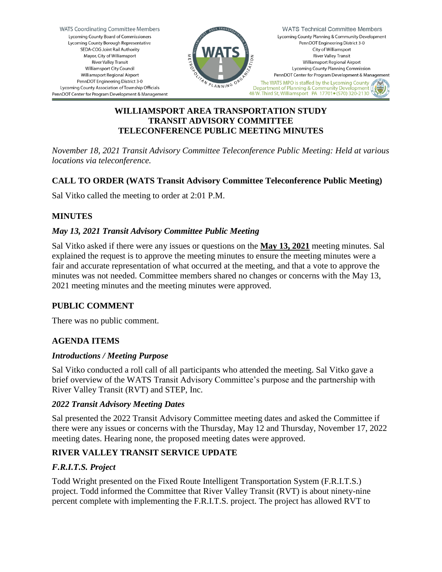

## **WILLIAMSPORT AREA TRANSPORTATION STUDY TRANSIT ADVISORY COMMITTEE TELECONFERENCE PUBLIC MEETING MINUTES**

*November 18, 2021 Transit Advisory Committee Teleconference Public Meeting: Held at various locations via teleconference.*

# **CALL TO ORDER (WATS Transit Advisory Committee Teleconference Public Meeting)**

Sal Vitko called the meeting to order at 2:01 P.M.

## **MINUTES**

## *May 13, 2021 Transit Advisory Committee Public Meeting*

Sal Vitko asked if there were any issues or questions on the **May 13, 2021** meeting minutes. Sal explained the request is to approve the meeting minutes to ensure the meeting minutes were a fair and accurate representation of what occurred at the meeting, and that a vote to approve the minutes was not needed. Committee members shared no changes or concerns with the May 13, 2021 meeting minutes and the meeting minutes were approved.

## **PUBLIC COMMENT**

There was no public comment.

## **AGENDA ITEMS**

#### *Introductions / Meeting Purpose*

Sal Vitko conducted a roll call of all participants who attended the meeting. Sal Vitko gave a brief overview of the WATS Transit Advisory Committee's purpose and the partnership with River Valley Transit (RVT) and STEP, Inc.

#### *2022 Transit Advisory Meeting Dates*

Sal presented the 2022 Transit Advisory Committee meeting dates and asked the Committee if there were any issues or concerns with the Thursday, May 12 and Thursday, November 17, 2022 meeting dates. Hearing none, the proposed meeting dates were approved.

## **RIVER VALLEY TRANSIT SERVICE UPDATE**

## *F.R.I.T.S. Project*

Todd Wright presented on the Fixed Route Intelligent Transportation System (F.R.I.T.S.) project. Todd informed the Committee that River Valley Transit (RVT) is about ninety-nine percent complete with implementing the F.R.I.T.S. project. The project has allowed RVT to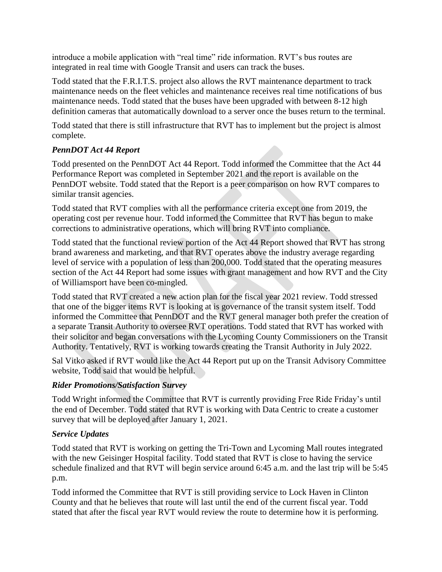introduce a mobile application with "real time" ride information. RVT's bus routes are integrated in real time with Google Transit and users can track the buses.

Todd stated that the F.R.I.T.S. project also allows the RVT maintenance department to track maintenance needs on the fleet vehicles and maintenance receives real time notifications of bus maintenance needs. Todd stated that the buses have been upgraded with between 8-12 high definition cameras that automatically download to a server once the buses return to the terminal.

Todd stated that there is still infrastructure that RVT has to implement but the project is almost complete.

## *PennDOT Act 44 Report*

Todd presented on the PennDOT Act 44 Report. Todd informed the Committee that the Act 44 Performance Report was completed in September 2021 and the report is available on the PennDOT website. Todd stated that the Report is a peer comparison on how RVT compares to similar transit agencies.

Todd stated that RVT complies with all the performance criteria except one from 2019, the operating cost per revenue hour. Todd informed the Committee that RVT has begun to make corrections to administrative operations, which will bring RVT into compliance.

Todd stated that the functional review portion of the Act 44 Report showed that RVT has strong brand awareness and marketing, and that RVT operates above the industry average regarding level of service with a population of less than 200,000. Todd stated that the operating measures section of the Act 44 Report had some issues with grant management and how RVT and the City of Williamsport have been co-mingled.

Todd stated that RVT created a new action plan for the fiscal year 2021 review. Todd stressed that one of the bigger items RVT is looking at is governance of the transit system itself. Todd informed the Committee that PennDOT and the RVT general manager both prefer the creation of a separate Transit Authority to oversee RVT operations. Todd stated that RVT has worked with their solicitor and began conversations with the Lycoming County Commissioners on the Transit Authority. Tentatively, RVT is working towards creating the Transit Authority in July 2022.

Sal Vitko asked if RVT would like the Act 44 Report put up on the Transit Advisory Committee website, Todd said that would be helpful.

## *Rider Promotions/Satisfaction Survey*

Todd Wright informed the Committee that RVT is currently providing Free Ride Friday's until the end of December. Todd stated that RVT is working with Data Centric to create a customer survey that will be deployed after January 1, 2021.

## *Service Updates*

Todd stated that RVT is working on getting the Tri-Town and Lycoming Mall routes integrated with the new Geisinger Hospital facility. Todd stated that RVT is close to having the service schedule finalized and that RVT will begin service around 6:45 a.m. and the last trip will be 5:45 p.m.

Todd informed the Committee that RVT is still providing service to Lock Haven in Clinton County and that he believes that route will last until the end of the current fiscal year. Todd stated that after the fiscal year RVT would review the route to determine how it is performing.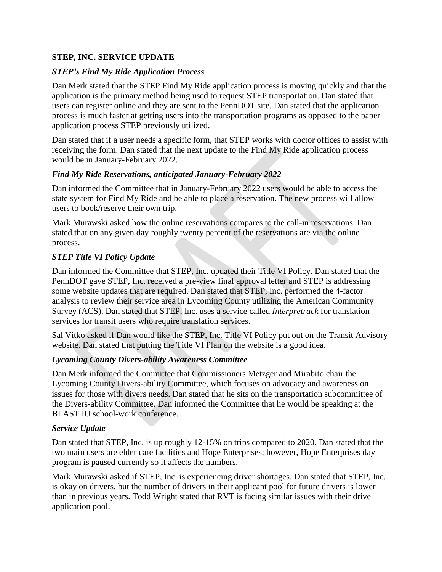## **STEP, INC. SERVICE UPDATE**

## *STEP's Find My Ride Application Process*

Dan Merk stated that the STEP Find My Ride application process is moving quickly and that the application is the primary method being used to request STEP transportation. Dan stated that users can register online and they are sent to the PennDOT site. Dan stated that the application process is much faster at getting users into the transportation programs as opposed to the paper application process STEP previously utilized.

Dan stated that if a user needs a specific form, that STEP works with doctor offices to assist with receiving the form. Dan stated that the next update to the Find My Ride application process would be in January-February 2022.

## *Find My Ride Reservations, anticipated January-February 2022*

Dan informed the Committee that in January-February 2022 users would be able to access the state system for Find My Ride and be able to place a reservation. The new process will allow users to book/reserve their own trip.

Mark Murawski asked how the online reservations compares to the call-in reservations. Dan stated that on any given day roughly twenty percent of the reservations are via the online process.

## *STEP Title VI Policy Update*

Dan informed the Committee that STEP, Inc. updated their Title VI Policy. Dan stated that the PennDOT gave STEP, Inc. received a pre-view final approval letter and STEP is addressing some website updates that are required. Dan stated that STEP, Inc. performed the 4-factor analysis to review their service area in Lycoming County utilizing the American Community Survey (ACS). Dan stated that STEP, Inc. uses a service called *Interpretrack* for translation services for transit users who require translation services.

Sal Vitko asked if Dan would like the STEP, Inc. Title VI Policy put out on the Transit Advisory website. Dan stated that putting the Title VI Plan on the website is a good idea.

## *Lycoming County Divers-ability Awareness Committee*

Dan Merk informed the Committee that Commissioners Metzger and Mirabito chair the Lycoming County Divers-ability Committee, which focuses on advocacy and awareness on issues for those with divers needs. Dan stated that he sits on the transportation subcommittee of the Divers-ability Committee. Dan informed the Committee that he would be speaking at the BLAST IU school-work conference.

## *Service Update*

Dan stated that STEP, Inc. is up roughly 12-15% on trips compared to 2020. Dan stated that the two main users are elder care facilities and Hope Enterprises; however, Hope Enterprises day program is paused currently so it affects the numbers.

Mark Murawski asked if STEP, Inc. is experiencing driver shortages. Dan stated that STEP, Inc. is okay on drivers, but the number of drivers in their applicant pool for future drivers is lower than in previous years. Todd Wright stated that RVT is facing similar issues with their drive application pool.